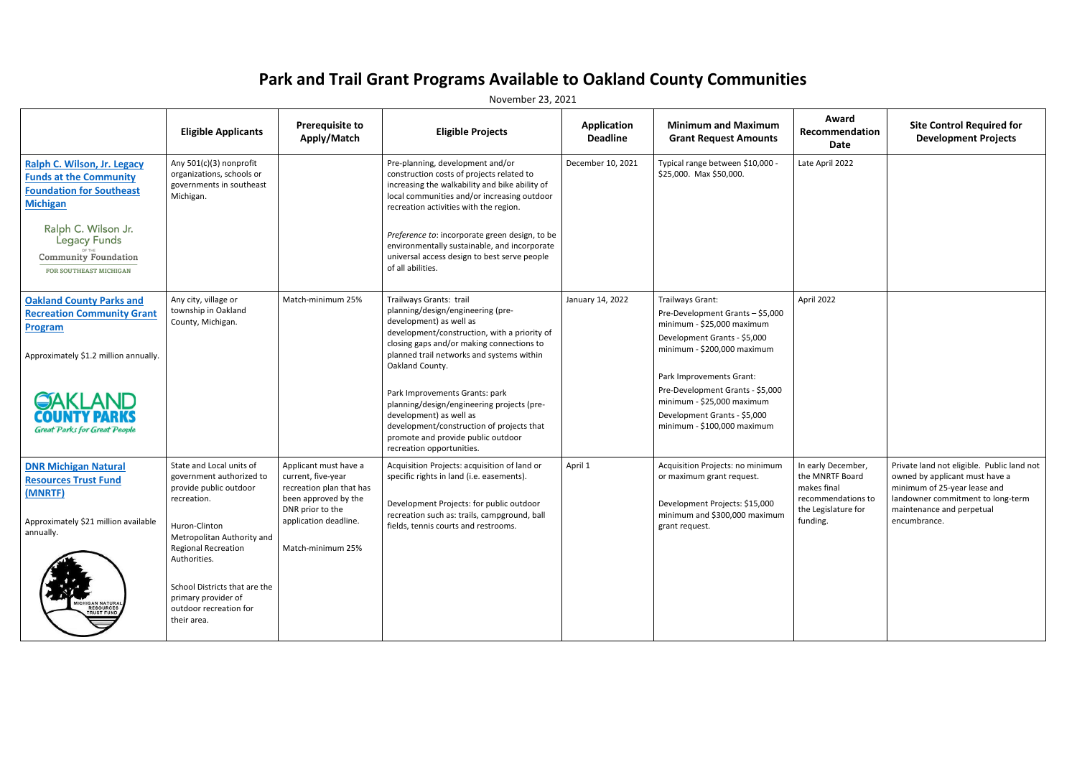## **Park and Trail Grant Programs Available to Oakland County Communities**

November 23, 2021

|                                                                                                                    | <b>Eligible Applicants</b>                                                                    | <b>Prerequisite to</b><br>Apply/Match                                   | <b>Eligible Projects</b>                                                                                                                                                                                                 | <b>Application</b><br><b>Deadline</b> | <b>Minimum and Maximum</b><br><b>Grant Request Amounts</b>     | Award<br>Recommendation<br>Date                      | <b>Site Control Required for</b><br><b>Development Projects</b>                                              |
|--------------------------------------------------------------------------------------------------------------------|-----------------------------------------------------------------------------------------------|-------------------------------------------------------------------------|--------------------------------------------------------------------------------------------------------------------------------------------------------------------------------------------------------------------------|---------------------------------------|----------------------------------------------------------------|------------------------------------------------------|--------------------------------------------------------------------------------------------------------------|
| Ralph C. Wilson, Jr. Legacy<br><b>Funds at the Community</b><br><b>Foundation for Southeast</b><br><b>Michigan</b> | Any 501(c)(3) nonprofit<br>organizations, schools or<br>governments in southeast<br>Michigan. |                                                                         | Pre-planning, development and/or<br>construction costs of projects related to<br>increasing the walkability and bike ability of<br>local communities and/or increasing outdoor<br>recreation activities with the region. | December 10, 2021                     | Typical range between \$10,000 -<br>\$25,000. Max \$50,000.    | Late April 2022                                      |                                                                                                              |
| Ralph C. Wilson Jr.<br><b>Legacy Funds</b><br><b>Community Foundation</b><br>FOR SOUTHEAST MICHIGAN                |                                                                                               |                                                                         | Preference to: incorporate green design, to be<br>environmentally sustainable, and incorporate<br>universal access design to best serve people<br>of all abilities.                                                      |                                       |                                                                |                                                      |                                                                                                              |
| <b>Oakland County Parks and</b>                                                                                    | Any city, village or<br>township in Oakland                                                   | Match-minimum 25%                                                       | Trailways Grants: trail<br>planning/design/engineering (pre-                                                                                                                                                             | January 14, 2022                      | Trailways Grant:                                               | April 2022                                           |                                                                                                              |
| <b>Recreation Community Grant</b><br>Program                                                                       | County, Michigan.                                                                             |                                                                         | development) as well as                                                                                                                                                                                                  |                                       | Pre-Development Grants - \$5,000<br>minimum - \$25,000 maximum |                                                      |                                                                                                              |
| Approximately \$1.2 million annually.                                                                              |                                                                                               |                                                                         | development/construction, with a priority of<br>closing gaps and/or making connections to<br>planned trail networks and systems within<br>Oakland County.                                                                |                                       | Development Grants - \$5,000<br>minimum - \$200,000 maximum    |                                                      |                                                                                                              |
| <b>GAKLAND</b><br>COUNTY PARKS<br><b>Great Parks for Great People</b>                                              |                                                                                               |                                                                         | Park Improvements Grants: park                                                                                                                                                                                           |                                       | Park Improvements Grant:<br>Pre-Development Grants - \$5,000   |                                                      |                                                                                                              |
|                                                                                                                    |                                                                                               |                                                                         | planning/design/engineering projects (pre-<br>development) as well as<br>development/construction of projects that<br>promote and provide public outdoor<br>recreation opportunities.                                    |                                       | minimum - \$25,000 maximum<br>Development Grants - \$5,000     |                                                      |                                                                                                              |
|                                                                                                                    |                                                                                               |                                                                         |                                                                                                                                                                                                                          |                                       | minimum - \$100,000 maximum                                    |                                                      |                                                                                                              |
| <b>DNR Michigan Natural</b><br><b>Resources Trust Fund</b>                                                         | State and Local units of<br>government authorized to<br>provide public outdoor                | Applicant must have a<br>current, five-year<br>recreation plan that has | Acquisition Projects: acquisition of land or<br>specific rights in land (i.e. easements).                                                                                                                                | April 1                               | Acquisition Projects: no minimum<br>or maximum grant request.  | In early December,<br>the MNRTF Board<br>makes final | Private land not eligible. Public land not<br>owned by applicant must have a<br>minimum of 25-year lease and |
| (MNRTF)                                                                                                            | recreation.                                                                                   | been approved by the<br>DNR prior to the                                | Development Projects: for public outdoor                                                                                                                                                                                 |                                       | Development Projects: \$15,000                                 | recommendations to<br>the Legislature for            | landowner commitment to long-term<br>maintenance and perpetual                                               |
| Approximately \$21 million available<br>annually.                                                                  | Huron-Clinton<br>Metropolitan Authority and                                                   | application deadline.                                                   | recreation such as: trails, campground, ball<br>fields, tennis courts and restrooms.                                                                                                                                     |                                       | minimum and \$300,000 maximum<br>grant request.                | funding.                                             | encumbrance.                                                                                                 |
|                                                                                                                    | <b>Regional Recreation</b><br>Authorities.                                                    | Match-minimum 25%                                                       |                                                                                                                                                                                                                          |                                       |                                                                |                                                      |                                                                                                              |
| MICHIGAN NATURAL<br>RESOURCES<br>TRUST FUND                                                                        | School Districts that are the<br>primary provider of<br>outdoor recreation for<br>their area. |                                                                         |                                                                                                                                                                                                                          |                                       |                                                                |                                                      |                                                                                                              |